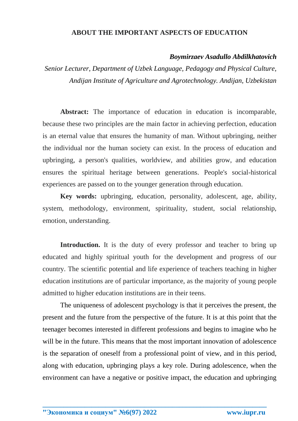## **ABOUT THE IMPORTANT ASPECTS OF EDUCATION**

## *Boymirzaev Asadullo Abdilkhatovich*

*Senior Lecturer, Department of Uzbek Language, Pedagogy and Physical Culture, Andijan Institute of Agriculture and Agrotechnology. Andijan, Uzbekistan*

**Abstract:** The importance of education in education is incomparable, because these two principles are the main factor in achieving perfection, education is an eternal value that ensures the humanity of man. Without upbringing, neither the individual nor the human society can exist. In the process of education and upbringing, a person's qualities, worldview, and abilities grow, and education ensures the spiritual heritage between generations. People's social-historical experiences are passed on to the younger generation through education.

**Key words:** upbringing, education, personality, adolescent, age, ability, system, methodology, environment, spirituality, student, social relationship, emotion, understanding.

**Introduction.** It is the duty of every professor and teacher to bring up educated and highly spiritual youth for the development and progress of our country. The scientific potential and life experience of teachers teaching in higher education institutions are of particular importance, as the majority of young people admitted to higher education institutions are in their teens.

The uniqueness of adolescent psychology is that it perceives the present, the present and the future from the perspective of the future. It is at this point that the teenager becomes interested in different professions and begins to imagine who he will be in the future. This means that the most important innovation of adolescence is the separation of oneself from a professional point of view, and in this period, along with education, upbringing plays a key role. During adolescence, when the environment can have a negative or positive impact, the education and upbringing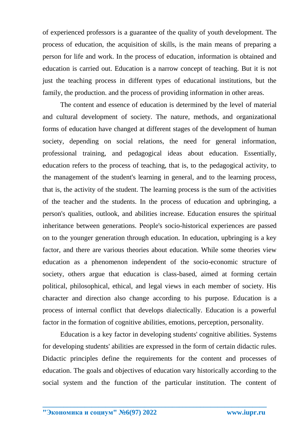of experienced professors is a guarantee of the quality of youth development. The process of education, the acquisition of skills, is the main means of preparing a person for life and work. In the process of education, information is obtained and education is carried out. Education is a narrow concept of teaching. But it is not just the teaching process in different types of educational institutions, but the family, the production. and the process of providing information in other areas.

The content and essence of education is determined by the level of material and cultural development of society. The nature, methods, and organizational forms of education have changed at different stages of the development of human society, depending on social relations, the need for general information, professional training, and pedagogical ideas about education. Essentially, education refers to the process of teaching, that is, to the pedagogical activity, to the management of the student's learning in general, and to the learning process, that is, the activity of the student. The learning process is the sum of the activities of the teacher and the students. In the process of education and upbringing, a person's qualities, outlook, and abilities increase. Education ensures the spiritual inheritance between generations. People's socio-historical experiences are passed on to the younger generation through education. In education, upbringing is a key factor, and there are various theories about education. While some theories view education as a phenomenon independent of the socio-economic structure of society, others argue that education is class-based, aimed at forming certain political, philosophical, ethical, and legal views in each member of society. His character and direction also change according to his purpose. Education is a process of internal conflict that develops dialectically. Education is a powerful factor in the formation of cognitive abilities, emotions, perception, personality.

Education is a key factor in developing students' cognitive abilities. Systems for developing students' abilities are expressed in the form of certain didactic rules. Didactic principles define the requirements for the content and processes of education. The goals and objectives of education vary historically according to the social system and the function of the particular institution. The content of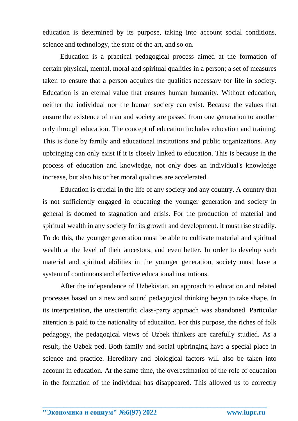education is determined by its purpose, taking into account social conditions, science and technology, the state of the art, and so on.

Education is a practical pedagogical process aimed at the formation of certain physical, mental, moral and spiritual qualities in a person; a set of measures taken to ensure that a person acquires the qualities necessary for life in society. Education is an eternal value that ensures human humanity. Without education, neither the individual nor the human society can exist. Because the values that ensure the existence of man and society are passed from one generation to another only through education. The concept of education includes education and training. This is done by family and educational institutions and public organizations. Any upbringing can only exist if it is closely linked to education. This is because in the process of education and knowledge, not only does an individual's knowledge increase, but also his or her moral qualities are accelerated.

Education is crucial in the life of any society and any country. A country that is not sufficiently engaged in educating the younger generation and society in general is doomed to stagnation and crisis. For the production of material and spiritual wealth in any society for its growth and development. it must rise steadily. To do this, the younger generation must be able to cultivate material and spiritual wealth at the level of their ancestors, and even better. In order to develop such material and spiritual abilities in the younger generation, society must have a system of continuous and effective educational institutions.

After the independence of Uzbekistan, an approach to education and related processes based on a new and sound pedagogical thinking began to take shape. In its interpretation, the unscientific class-party approach was abandoned. Particular attention is paid to the nationality of education. For this purpose, the riches of folk pedagogy, the pedagogical views of Uzbek thinkers are carefully studied. As a result, the Uzbek ped. Both family and social upbringing have a special place in science and practice. Hereditary and biological factors will also be taken into account in education. At the same time, the overestimation of the role of education in the formation of the individual has disappeared. This allowed us to correctly